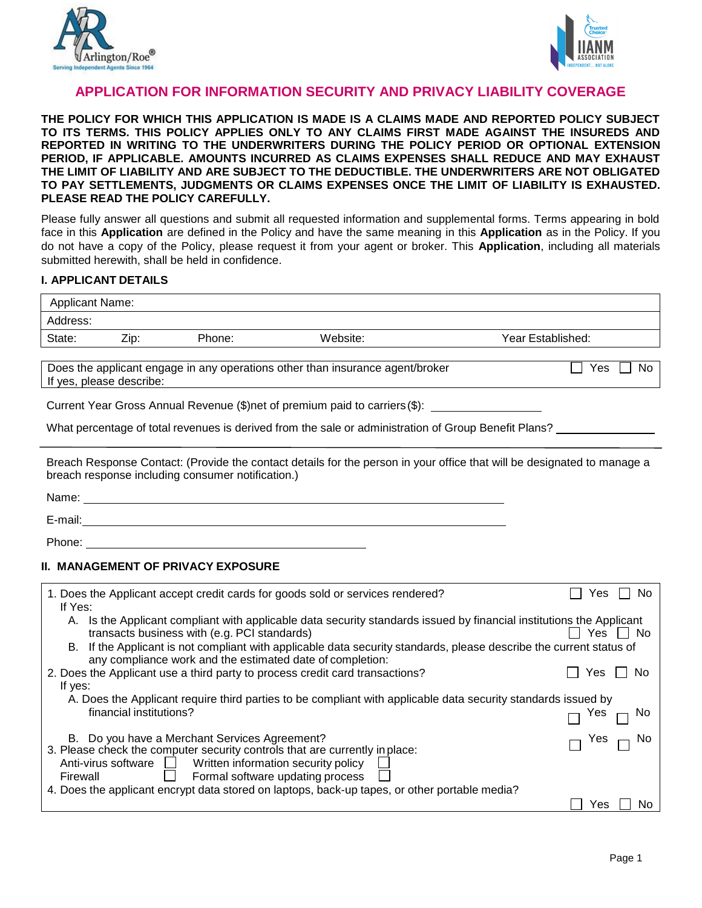



## **APPLICATION FOR INFORMATION SECURITY AND PRIVACY LIABILITY COVERAGE**

**THE POLICY FOR WHICH THIS APPLICATION IS MADE IS A CLAIMS MADE AND REPORTED POLICY SUBJECT TO ITS TERMS. THIS POLICY APPLIES ONLY TO ANY CLAIMS FIRST MADE AGAINST THE INSUREDS AND REPORTED IN WRITING TO THE UNDERWRITERS DURING THE POLICY PERIOD OR OPTIONAL EXTENSION PERIOD, IF APPLICABLE. AMOUNTS INCURRED AS CLAIMS EXPENSES SHALL REDUCE AND MAY EXHAUST THE LIMIT OF LIABILITY AND ARE SUBJECT TO THE DEDUCTIBLE. THE UNDERWRITERS ARE NOT OBLIGATED TO PAY SETTLEMENTS, JUDGMENTS OR CLAIMS EXPENSES ONCE THE LIMIT OF LIABILITY IS EXHAUSTED. PLEASE READ THE POLICY CAREFULLY.** 

Please fully answer all questions and submit all requested information and supplemental forms. Terms appearing in bold face in this **Application** are defined in the Policy and have the same meaning in this **Application** as in the Policy. If you do not have a copy of the Policy, please request it from your agent or broker. This **Application**, including all materials submitted herewith, shall be held in confidence.

#### **I. APPLICANT DETAILS**

| <b>Applicant Name:</b> |      |        |                                                                               |                   |
|------------------------|------|--------|-------------------------------------------------------------------------------|-------------------|
| Address:               |      |        |                                                                               |                   |
| State:                 | Zip: | Phone: | Website:                                                                      | Year Established: |
|                        |      |        | Does the applicant engage in any operations other than insurance agent/broker | Yes<br>No         |

If yes, please describe:

Current Year Gross Annual Revenue (\$)net of premium paid to carriers (\$):

What percentage of total revenues is derived from the sale or administration of Group Benefit Plans?

Breach Response Contact: (Provide the contact details for the person in your office that will be designated to manage a breach response including consumer notification.)

Name: E-mail: 

Phone:

### **II. MANAGEMENT OF PRIVACY EXPOSURE**

| 1. Does the Applicant accept credit cards for goods sold or services rendered?<br>If Yes:                                                                                           | es        |  |  |  |  |
|-------------------------------------------------------------------------------------------------------------------------------------------------------------------------------------|-----------|--|--|--|--|
| Is the Applicant compliant with applicable data security standards issued by financial institutions the Applicant<br>A.<br>transacts business with (e.g. PCI standards)             | Yes<br>No |  |  |  |  |
| If the Applicant is not compliant with applicable data security standards, please describe the current status of<br>B.<br>any compliance work and the estimated date of completion: |           |  |  |  |  |
| 2. Does the Applicant use a third party to process credit card transactions?                                                                                                        | N٥<br>Yes |  |  |  |  |
| If yes:                                                                                                                                                                             |           |  |  |  |  |
| A. Does the Applicant require third parties to be compliant with applicable data security standards issued by                                                                       |           |  |  |  |  |
| financial institutions?                                                                                                                                                             | Yes       |  |  |  |  |
| B. Do you have a Merchant Services Agreement?                                                                                                                                       | Yes       |  |  |  |  |
| 3. Please check the computer security controls that are currently in place:                                                                                                         |           |  |  |  |  |
| Written information security policy<br>Anti-virus software                                                                                                                          |           |  |  |  |  |
| Formal software updating process<br>Firewall                                                                                                                                        |           |  |  |  |  |
| 4. Does the applicant encrypt data stored on laptops, back-up tapes, or other portable media?                                                                                       |           |  |  |  |  |
|                                                                                                                                                                                     | es:       |  |  |  |  |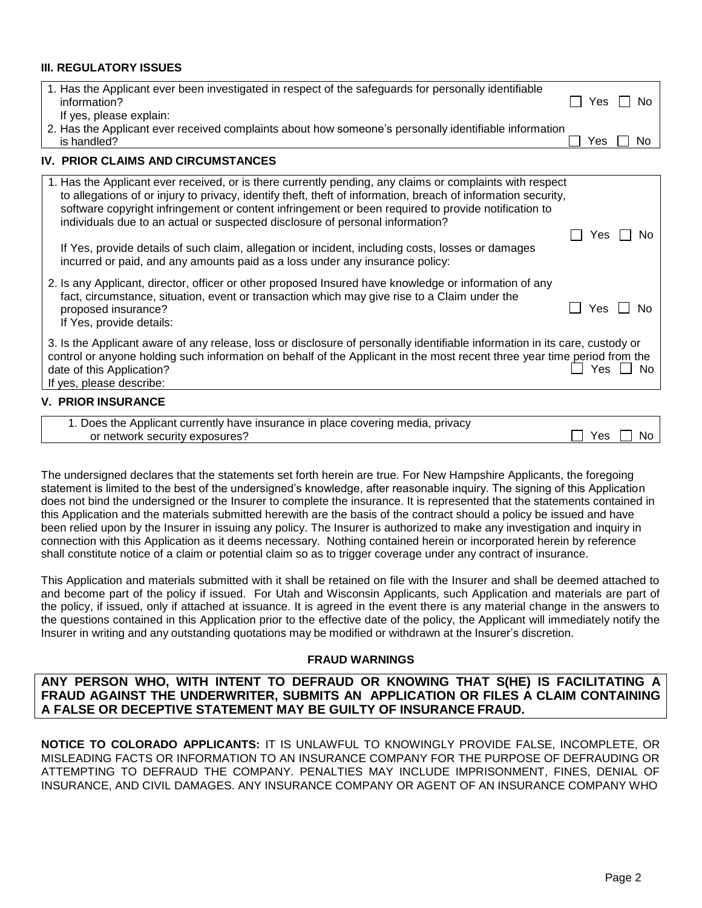#### **III. REGULATORY ISSUES**

| 1. Has the Applicant ever been investigated in respect of the safeguards for personally identifiable<br>information?<br>If yes, please explain:                                                                                                                                                                                                                                                                                                                                                                                                                                                        | Yes | No  |
|--------------------------------------------------------------------------------------------------------------------------------------------------------------------------------------------------------------------------------------------------------------------------------------------------------------------------------------------------------------------------------------------------------------------------------------------------------------------------------------------------------------------------------------------------------------------------------------------------------|-----|-----|
| 2. Has the Applicant ever received complaints about how someone's personally identifiable information<br>is handled?                                                                                                                                                                                                                                                                                                                                                                                                                                                                                   | Yes | No. |
| <b>IV. PRIOR CLAIMS AND CIRCUMSTANCES</b>                                                                                                                                                                                                                                                                                                                                                                                                                                                                                                                                                              |     |     |
| 1. Has the Applicant ever received, or is there currently pending, any claims or complaints with respect<br>to allegations of or injury to privacy, identify theft, theft of information, breach of information security,<br>software copyright infringement or content infringement or been required to provide notification to<br>individuals due to an actual or suspected disclosure of personal information?<br>If Yes, provide details of such claim, allegation or incident, including costs, losses or damages<br>incurred or paid, and any amounts paid as a loss under any insurance policy: | Yes | No. |
| 2. Is any Applicant, director, officer or other proposed Insured have knowledge or information of any<br>fact, circumstance, situation, event or transaction which may give rise to a Claim under the<br>proposed insurance?<br>If Yes, provide details:                                                                                                                                                                                                                                                                                                                                               | Yes | N٥  |
| 3. Is the Applicant aware of any release, loss or disclosure of personally identifiable information in its care, custody or<br>control or anyone holding such information on behalf of the Applicant in the most recent three year time period from the<br>date of this Application?<br>If yes, please describe:                                                                                                                                                                                                                                                                                       | Yes | No. |
| <b>V. PRIOR INSURANCE</b>                                                                                                                                                                                                                                                                                                                                                                                                                                                                                                                                                                              |     |     |
| 1. Does the Applicant currently have insurance in place covering media, privacy                                                                                                                                                                                                                                                                                                                                                                                                                                                                                                                        |     |     |

The undersigned declares that the statements set forth herein are true. For New Hampshire Applicants, the foregoing statement is limited to the best of the undersigned's knowledge, after reasonable inquiry. The signing of this Application does not bind the undersigned or the Insurer to complete the insurance. It is represented that the statements contained in this Application and the materials submitted herewith are the basis of the contract should a policy be issued and have been relied upon by the Insurer in issuing any policy. The Insurer is authorized to make any investigation and inquiry in connection with this Application as it deems necessary. Nothing contained herein or incorporated herein by reference shall constitute notice of a claim or potential claim so as to trigger coverage under any contract of insurance.

or network security exposures? The security exposures and the security exposures of the security exposures of  $\Box$  Yes  $\Box$  No

This Application and materials submitted with it shall be retained on file with the Insurer and shall be deemed attached to and become part of the policy if issued. For Utah and Wisconsin Applicants, such Application and materials are part of the policy, if issued, only if attached at issuance. It is agreed in the event there is any material change in the answers to the questions contained in this Application prior to the effective date of the policy, the Applicant will immediately notify the Insurer in writing and any outstanding quotations may be modified or withdrawn at the Insurer's discretion.

#### **FRAUD WARNINGS**

### **ANY PERSON WHO, WITH INTENT TO DEFRAUD OR KNOWING THAT S(HE) IS FACILITATING A FRAUD AGAINST THE UNDERWRITER, SUBMITS AN APPLICATION OR FILES A CLAIM CONTAINING A FALSE OR DECEPTIVE STATEMENT MAY BE GUILTY OF INSURANCE FRAUD.**

**NOTICE TO COLORADO APPLICANTS:** IT IS UNLAWFUL TO KNOWINGLY PROVIDE FALSE, INCOMPLETE, OR MISLEADING FACTS OR INFORMATION TO AN INSURANCE COMPANY FOR THE PURPOSE OF DEFRAUDING OR ATTEMPTING TO DEFRAUD THE COMPANY. PENALTIES MAY INCLUDE IMPRISONMENT, FINES, DENIAL OF INSURANCE, AND CIVIL DAMAGES. ANY INSURANCE COMPANY OR AGENT OF AN INSURANCE COMPANY WHO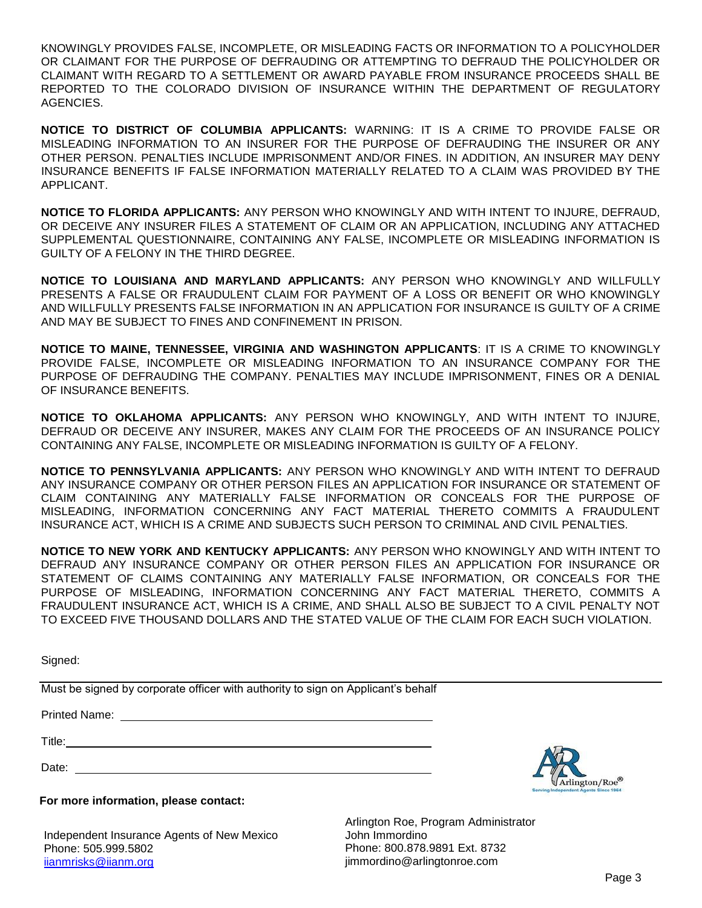KNOWINGLY PROVIDES FALSE, INCOMPLETE, OR MISLEADING FACTS OR INFORMATION TO A POLICYHOLDER OR CLAIMANT FOR THE PURPOSE OF DEFRAUDING OR ATTEMPTING TO DEFRAUD THE POLICYHOLDER OR CLAIMANT WITH REGARD TO A SETTLEMENT OR AWARD PAYABLE FROM INSURANCE PROCEEDS SHALL BE REPORTED TO THE COLORADO DIVISION OF INSURANCE WITHIN THE DEPARTMENT OF REGULATORY AGENCIES.

**NOTICE TO DISTRICT OF COLUMBIA APPLICANTS:** WARNING: IT IS A CRIME TO PROVIDE FALSE OR MISLEADING INFORMATION TO AN INSURER FOR THE PURPOSE OF DEFRAUDING THE INSURER OR ANY OTHER PERSON. PENALTIES INCLUDE IMPRISONMENT AND/OR FINES. IN ADDITION, AN INSURER MAY DENY INSURANCE BENEFITS IF FALSE INFORMATION MATERIALLY RELATED TO A CLAIM WAS PROVIDED BY THE APPLICANT.

**NOTICE TO FLORIDA APPLICANTS:** ANY PERSON WHO KNOWINGLY AND WITH INTENT TO INJURE, DEFRAUD, OR DECEIVE ANY INSURER FILES A STATEMENT OF CLAIM OR AN APPLICATION, INCLUDING ANY ATTACHED SUPPLEMENTAL QUESTIONNAIRE, CONTAINING ANY FALSE, INCOMPLETE OR MISLEADING INFORMATION IS GUILTY OF A FELONY IN THE THIRD DEGREE.

**NOTICE TO LOUISIANA AND MARYLAND APPLICANTS:** ANY PERSON WHO KNOWINGLY AND WILLFULLY PRESENTS A FALSE OR FRAUDULENT CLAIM FOR PAYMENT OF A LOSS OR BENEFIT OR WHO KNOWINGLY AND WILLFULLY PRESENTS FALSE INFORMATION IN AN APPLICATION FOR INSURANCE IS GUILTY OF A CRIME AND MAY BE SUBJECT TO FINES AND CONFINEMENT IN PRISON.

**NOTICE TO MAINE, TENNESSEE, VIRGINIA AND WASHINGTON APPLICANTS**: IT IS A CRIME TO KNOWINGLY PROVIDE FALSE, INCOMPLETE OR MISLEADING INFORMATION TO AN INSURANCE COMPANY FOR THE PURPOSE OF DEFRAUDING THE COMPANY. PENALTIES MAY INCLUDE IMPRISONMENT, FINES OR A DENIAL OF INSURANCE BENEFITS.

**NOTICE TO OKLAHOMA APPLICANTS:** ANY PERSON WHO KNOWINGLY, AND WITH INTENT TO INJURE, DEFRAUD OR DECEIVE ANY INSURER, MAKES ANY CLAIM FOR THE PROCEEDS OF AN INSURANCE POLICY CONTAINING ANY FALSE, INCOMPLETE OR MISLEADING INFORMATION IS GUILTY OF A FELONY.

**NOTICE TO PENNSYLVANIA APPLICANTS:** ANY PERSON WHO KNOWINGLY AND WITH INTENT TO DEFRAUD ANY INSURANCE COMPANY OR OTHER PERSON FILES AN APPLICATION FOR INSURANCE OR STATEMENT OF CLAIM CONTAINING ANY MATERIALLY FALSE INFORMATION OR CONCEALS FOR THE PURPOSE OF MISLEADING, INFORMATION CONCERNING ANY FACT MATERIAL THERETO COMMITS A FRAUDULENT INSURANCE ACT, WHICH IS A CRIME AND SUBJECTS SUCH PERSON TO CRIMINAL AND CIVIL PENALTIES.

**NOTICE TO NEW YORK AND KENTUCKY APPLICANTS:** ANY PERSON WHO KNOWINGLY AND WITH INTENT TO DEFRAUD ANY INSURANCE COMPANY OR OTHER PERSON FILES AN APPLICATION FOR INSURANCE OR STATEMENT OF CLAIMS CONTAINING ANY MATERIALLY FALSE INFORMATION, OR CONCEALS FOR THE PURPOSE OF MISLEADING, INFORMATION CONCERNING ANY FACT MATERIAL THERETO, COMMITS A FRAUDULENT INSURANCE ACT, WHICH IS A CRIME, AND SHALL ALSO BE SUBJECT TO A CIVIL PENALTY NOT TO EXCEED FIVE THOUSAND DOLLARS AND THE STATED VALUE OF THE CLAIM FOR EACH SUCH VIOLATION.

Signed:

Must be signed by corporate officer with authority to sign on Applicant's behalf

Printed Name:

Title:

Date: **Date: Date: Date: Date: Date: Date: Date: Date: Date: Date: Date: Date: Date: Date: Date: Date: Date: Date: Date: Date: Date: Date: Date: Date: Date: Date: Date:**



### **For more information, please contact:**

Independent Insurance Agents of New Mexico Phone: 505.999.5802 [iianmrisks@iianm.org](mailto:iianmrisks@iianm.org)

Arlington Roe, Program Administrator John Immordino Phone: 800.878.9891 Ext. 8732 [jimmordino@arlingtonroe.com](mailto:jimmordino@arlingtonroe.com)